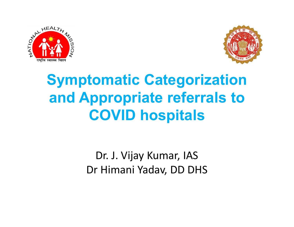



# Symptomatic Categorization and Appropriate referrals to COVID hospitals **IOMANC Categorization<br>Ippropriate referrals to<br>COVID hospitals<br>Dr. J. Vijay Kumar, IAS<br>Dr Himani Yadav, DD DHS**

Dr. J. Vijay Kumar, IAS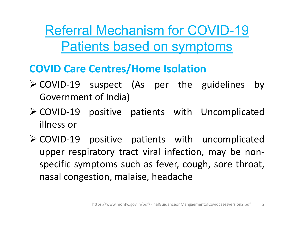Referral Mechanism for COVID-19 Patients based on symptoms Referral Mechanism for COVID-19<br>
Patients based on symptoms<br>
COVID Care Centres/Home Isolation<br>
> COVID-19 suspect (As per the guidelines by<br>
Government of India)<br>
> COVID-19 positive patients with Uncomplicated Referral Mechanism for COVID<br>
Patients based on symptoms<br>
DVID Care Centres/Home Isolation<br>
COVID-19 suspect (As per the guidel<br>
Government of India)<br>
COVID-19 positive patients with Uncon<br>
illness or Expedients Dased on symptoms<br>
Fatients based on symptoms<br>
COVID Care Centres/Home Isolation<br>
≻ COVID-19 suspect (As per the guidelines by<br>
Government of India)<br>
≻ COVID-19 positive patients with Uncomplicated<br>
allness or<br>

## COVID Care Centres/Home Isolation

- **Patients based on syr<br>
DVID Care Centres/Home Isolat<br>
COVID-19 suspect (As per the<br>
Government of India)<br>
COVID-19 positive patients with<br>
illness or<br>
COVID-19 positive patients with<br>
upper respiratory tract viral infect**
- 
- **COVID Care Centres/Home Isolation**<br>  $\geq$  COVID-19 suspect (As per the guidelines by<br>
Government of India)<br>  $\geq$  COVID-19 positive patients with Uncomplicated<br>
illness or<br>  $\geq$  COVID-19 positive patients with uncomplic **DVID Care Centres/Home Isolation**<br>
COVID-19 suspect (As per the guidelines by<br>
Government of India)<br>
COVID-19 positive patients with Uncomplicated<br>
illness or<br>
COVID-19 positive patients with uncomplicated<br>
upper respirat COVID-19 suspect (As per the guidelines by<br>Government of India)<br>COVID-19 positive patients with Uncomplicated<br>illness or<br>COVID-19 positive patients with uncomplicated<br>upper respiratory tract viral infection, may be non-<br>sp Government of India)<br>COVID-19 positive patients with Uncomplicated<br>illness or<br>COVID-19 positive patients with uncomplicated<br>upper respiratory tract viral infection, may be non-<br>specific symptoms such as fever, cough, sore Mositive patients with uncomplicated<br>https://www.mohfw.gov.in/pdf/FinalGuidanceonMangaementofCovidcasesversion2.pdf 2<br>https://www.mohfw.gov.in/pdf/FinalGuidanceonMangaementofCovidcasesversion2.pdf 2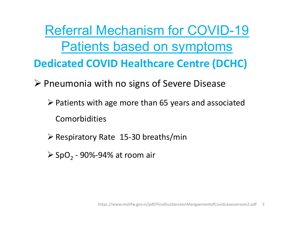Referral Mechanism for COVID-19 Patients based on symptoms Dedicated COVID Healthcare Centre (DCHC) Referral Mechanism for COVID-19<br>
Patients based on symptoms<br>
Dedicated COVID Healthcare Centre (DCHC)<br>
> Pneumonia with no signs of Severe Disease<br>
> Patients with age more than 65 years and associated

- $\triangleright$  Patients with age more than 65 years and associated Comorbidities **Example 31 The School Cent**<br>This with no signs of Severe Dints with age more than 65 years and<br>probidities<br>ratory Rate 15-30 breaths/min<br>- 90%-94% at room air **es<br>https://www.mohfw.gov.in/pdf/FinalGuidanceonMangaementofCovidcasesversion2.pdf 3**<br>https://www.mohfw.gov.in/pdf/FinalGuidanceonMangaementofCovidcasesversion2.pdf 3
- $\triangleright$  Respiratory Rate 15-30 breaths/min
- $\triangleright$  SpO<sub>2</sub> 90%-94% at room air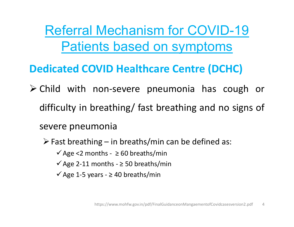Referral Mechanism for COVID-19 Patients based on symptoms

# Dedicated COVID Healthcare Centre (DCHC)

Referral Mechanism for COVID-19<br>
Patients based on symptoms<br>
Dedicated COVID Healthcare Centre (DCHC)<br>
Child with non-severe pneumonia has cough or<br>
difficulty in breathing/ fast breathing and no signs of Referral Mechanism for COVID-19<br>Patients based on symptoms<br>edicated COVID Healthcare Centre (DCHC)<br>Child with non-severe pneumonia has cough or<br>difficulty in breathing/ fast breathing and no signs of<br>severe pneumonia **Patients based on synution**<br> **Patients based on synution of the Covid-**<br>
Child with non-severe pneumonia<br>
difficulty in breathing/ fast breathin<br>
severe pneumonia<br>
Fast breathing – in breaths/min can be<br>
Y Age <2 months dicated COVID Healthcare Centre (DCHC)<br>
Child with non-severe pneumonia has cough or<br>
difficulty in breathing/ fast breathing and no signs of<br>
evere pneumonia<br>  $\geq$  Fast breathing – in breaths/min can be defined as:<br>  $\angle$ **COVID Healthcare Centre (DCHC)**<br>
d with non-severe pneumonia has cough<br>
culty in breathing/ fast breathing and no signs<br>
ere pneumonia<br>
ast breathing – in breaths/min can be defined as:<br>
√Age <2 months - ≥ 50 breaths/min d with non-severe pneumonia has cough<br>culty in breathing/ fast breathing and no signs<br>ere pneumonia<br>ast breathing - in breaths/min can be defined as:<br> $\sqrt{Age} < 2$  months -  $\geq 60$  breaths/min<br> $\sqrt{Age}$  2-11 months -  $\geq 50$ d with non-severe pneumonia has cough<br>culty in breathing/ fast breathing and no signere pneumonia<br>ast breathing – in breaths/min can be defined as:<br> $\sqrt{\text{Age}} \le 2$  months - ≥ 50 breaths/min<br> $\sqrt{\text{Age}} 2$ -11 months - ≥ 50 brea

**https://www.mohfw.gov.in/pdf/FinalGuidanceonMangaementofCovidcasesversion2.pdf** 4<br>https://www.mohfw.gov.in/pdf/FinalGuidanceonMangaementofCovidcasesversion2.pdf 4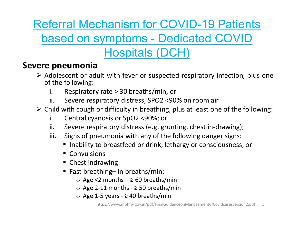Referral Mechanism for COVID-19 Patients

# eferral Mechanism for COVID-19 Patients<br>based on symptoms - Dedicated COVID<br>Hospitals (DCH)

# Hospitals (DCH)

- Referral Mechanism for CO<br>
based on symptoms De<br>
Hospitals (DC<br>
Severe pneumonia<br>
> Adolescent or adult with fever or suspecte<br>
of the following:<br>
i. Respiratory rate > 30 breaths/min, o Referral Mechanism for COVID-19 Patients<br>
based on symptoms - Dedicated COVID<br>
Hospitals (DCH)<br>
ere pneumonia<br>
Adolescent or adult with fever or suspected respiratory infection, plus one<br>
of the following:<br>
i. Respiratory **Example 18 Second Mechanism for COV**<br> **Example 18 Second Mechanism - Dedic<br>
Hospitals (DCH**<br> **Example 18 Second Mechanism Adolescent or adult with fever or suspected re**<br>
of the following:<br>
i. Respiratory rate > 30 breath Ferral Mechanism for COVID-19 Patients<br>ased on symptoms - Dedicated COVID<br>Flospitals (DCH)<br>preumonia<br>dolescent or adult with fever or suspected respiratory infection, plus one<br>it the following:<br>i. Respiratory distress, SPO ferral Mechanism for COVID-19 Patients<br>ased on symptoms - Dedicated COVID<br>preumonia<br>dolescent or adult with fever or suspected respiratory infection, plus one<br>the following:<br>i. Severe respiratory distress, SPO2 <90% on roo Referral Mechanism for COVID-19 Patients<br>
based on symptoms - Dedicated COVID<br>
Hospitals (DCH)<br>
ere pneumonia<br>
> Adolescent or adult with fever or suspected respiratory infection, plus one<br>
of the following:<br>
i. Respirator **increased on symptoms - Dedicated COVID**<br> **hospitals (DCH)**<br> **pneumonia**<br>
dolescent or adult with fever or suspected respiratory infection, plus one<br>
f the following:<br>
i. Respiratory rate > 30 breaths/min, or<br>
ii. Severe **incore is a set of the symptoms** - Dedicated COVID<br> **preumonia**<br>
dolescent or adult with fever or suspected respiratory infection, plus one<br>
if the following:<br>
i. Respiratory rate > 30 breaths/min, or<br>
ii. Severe respirat **increases of properties (DCH)**<br> **pneumonia**<br>
dolescent or adult with fever or suspected respiratory infection, plus one<br>
the following:<br>
i. Respiratory rate > 30 breaths/min, or<br>
iii. Severe respiratory distress, SPO2 <90 **EXECTS CONSTRESS CONTS CONTS CONSTRESS CONTS CONTS CONTS CONTS CONTS CONTS CONTS CONTS CONTS CONTS CONTS CONTS CONTS CONTS CONTS CONTS CONTS CONTS CONTS CONTS CONTS CONTS CONTS CONTS CONTS CONTS CONTS CONTS CONTS CONTS CO** scent or adult with fever or suspected respirator<br>following:<br>Respiratory rate > 30 breaths/min, or<br>Severe respiratory distress, SPO2 <90% on room<br>with cough or difficulty in breathing, plus at least<br>Central cyanosis or Sp
	-
	-
	- following:<br>
	Respiratory rate > 30 breaths/min, or<br>
	Severe respiratory distress, SPO2 <90% on room air<br>
	with cough or difficulty in breathing, plus at least one of the fo<br>
	Central cyanosis or SpO2 <90%; or<br>
	Severe respirat oiratory rate > 30 breaths/min, or<br>
	ere respiratory distress, SPO2 <90% on room air<br>
	cough or difficulty in breathing, plus at least one of the followir<br>
	tral cyanosis or SpO2 <90%; or<br>
	ere respiratory distress (e.g. grun ere respiratory distress, SPO2 <90% on room air<br>cough or difficulty in breathing, plus at least one of the following<br>tral cyanosis or SpO2 <90%; or<br>ere respiratory distress (e.g. grunting, chest in-drawing);<br>s of pneumoni cough or difficulty in breathing, plus at least one of the follow<br>tral cyanosis or SpO2 <90%; or<br>ere respiratory distress (e.g. grunting, chest in-drawing);<br>s of pneumonia with any of the following danger signs:<br>ability t
		-
		-
		-
- https://www.mohfw.gov.in/pdf/FinalGuidanceonMangaementofCovidcasesversion2.pdf<br>physics//www.mohfw.gov.in/pdf/FinalGuidanceonMangaementofCovidcasesversion2.pdf 5<br>https://www.mohfw.gov.in/pdf/FinalGuidanceonMangaementofCovi
	- $\blacksquare$  Convulsions
	-
	- -
		-
		-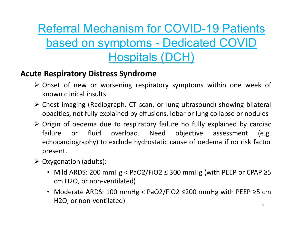Referral Mechanism for COVID-19 Pat<br>
based on symptoms - Dedicated COV<br>
Hospitals (DCH)<br>
Acute Respiratory Distress Syndrome<br>
> Onset of new or worsening respiratory symptoms within one<br>
known clinical insults **Example 12 Secondary McCovid Covid Covid Covid Covid Covid Covid Covid Covid Covid Covid Covid Covid Covid Covid Covid Covid Covid Covid Covid Covid Covid Covid Covid Covid Covid Covid Covid Covid Covid Covid Covid Covid Example 12 Additional Mechanism for COVID-**<br> **Example 10 Additional insults**<br> **Example 10 Additional insults**<br> **Example 10 Additional insults**<br>
Chest imaging (Radiograph, CT scan, or lung ultrasour opacities, not fully ex Referral Mechanism for COVID-19 Patients<br>
based on symptoms - Dedicated COVID<br>
Hospitals (DCH)<br>
te Respiratory Distress Syndrome<br>
> Onset of new or worsening respiratory symptoms within one week of<br>
known clinical insults<br> **Example 19 Alternation COVID-19 Patients**<br> **Explained On symptoms - Dedicated COVID**<br> **Explained Syndrome**<br> **Explained by effusions** within one week of<br>
known clinical insults<br>
Chest imaging (Radiograph, CT scan, or lung Referral Mechanism for COVID-19 Patients eferral Mechanism for COVID-19 Patients<br>based on symptoms - Dedicated COVID<br>Hospitals (DCH) Hospitals (DCH)

- 
- 
- Origin of oedema due to respiratory failure no fully explained by cardiac **Example 10 Symptoms - Dedicated COVID**<br> **Hospitals (DCH)**<br> **Respiratory Distress Syndrome**<br>
Onset of new or worsening respiratory symptoms within one week of<br>
known clinical insults<br>
Chest imaging (Radiograph, CT scan, or **Example 10**<br> **Example 10**<br> **Example 10**<br> **Example 10**<br> **Example 10**<br> **Example 10**<br> **Example 10**<br> **Example 10**<br> **Example 10**<br> **Example 10**<br> **Example 10**<br> **Example 10**<br> **Example 10**<br> **Example 10**<br> **Example 10**<br> **Example 10** present. **te Respiratory Distress Syndrome**<br>  $\triangleright$  Onset of new or worsening respiratory symptoms<br>
known clinical insults<br>  $\triangleright$  Chest imaging (Radiograph, CT scan, or lung ultrasoro<br>
opacities, not fully explained by effusions, nset of new or worsening respiratory symptoms within one week of<br>
nown clinical insults<br>
hest imaging (Radiograph, CT scan, or lung ultrasound) showing bilateral<br>
pacities, not fully explained by effusions, lobar or lung wn clinical insults<br>st imaging (Radiograph, CT scan, or lung ultrasoune<br>cities, not fully explained by effusions, lobar or lung<br>in of oedema due to respiratory failure no fully e<br>ire or fluid overload. Need objective<br>ocar Nest imaging (Radiograph, CT scan, or lung ultrasound) showing bilateral<br>pacities, not fully explained by effusions, lobar or lung collapse or nodules<br>rigin of oedema due to respiratory failure no fully explained by cardi cities, not fully explained by effusions, lobar or lugin of oedema due to respiratory failure no fully overload. Need objective ocardiography) to exclude hydrostatic cause of constantion (adults):<br>Benation (adults):<br>Mild
- -
	-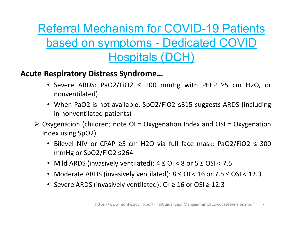Referral Mechanism for COVID-19 Patic<br>
based on symptoms - Dedicated COV<br>
Hospitals (DCH)<br>
Acute Respiratory Distress Syndrome...<br>
• Severe ARDS: PaO2/FiO2 ≤ 100 mmHg with PEEP ≥5 cm<br>
nonventilated) eferral Mechanism for COVID-19 Patients<br>based on symptoms - Dedicated COVID<br>Hospitals (DCH)<br>Respiratory Distress Syndrome...<br>• Severe ARDS: PaO2/FiO2 ≤ 100 mmHg with PEEP ≥5 cm H2O, or<br>nonventilated)<br>• When PaO2 is not av eferral Mechanism for COVID-19 Patients<br>
based on symptoms - Dedicated COVID<br>
Hospitals (DCH)<br>
\* Severe ARDS: PaO2/FiO2 ≤ 100 mmHg with PEEP ≥5 cm H2O, or<br>
nonventilated)<br>
• When PaO2 is not available, SpO2/FiO2 ≤315 sugg **in 100 m Symptoms - Dedicated C**<br> **in 100 m Symptoms - Dedicated C**<br> **in nonventilated)**<br> **in nonventilated**<br> **in nonventilated**<br> **in nonventilated** patients)<br> **in nonventilated** patients)<br> **genation (children; note OI = Dased On Symptoms - Dedicated COVID**<br> **Hospitals (DCH)**<br> **te Respiratory Distress Syndrome...**<br>
• Severe ARDS: PaO2/FiO2 ≤ 100 mmHg with PEEP ≥5 cm H2O, or<br>
nonventilated)<br>
• When PaO2 is not available, SpO2/FiO2 ≤315 su **Dased On symptoms - Dedica**<br> **Hospitals (DCH)**<br> **Respiratory Distress Syndrome...**<br>
• Severe ARDS: PaO2/FiO2  $\leq$  100 mmHg with<br>
nonventilated)<br>
• When PaO2 is not available, SpO2/FiO2  $\leq$ 315 su<br>
in nonventilated pati Referral Mechanism for COVID-19 Patients eferral Mechanism for COVID-19 Patients<br>based on symptoms - Dedicated COVID<br>Hospitals (DCH) Hospitals (DCH)

- nonventilated)
- 
- 
- **HOSPITELS (DCH)**<br>
 Severe ARDS: PaO2/FiO2 ≤ 100 mmHg with PEEP ≥5 cm H2O, or<br>
 or nonventilated)<br>
 When PaO2 is not available, SpO2/FiO2 ≤315 suggests ARDS (including<br>
in nonventilated patients)<br>
 sygenation (chil spiratory Distress Syndrome...<br>Severe ARDS: PaO2/FiO2 ≤ 100 mmHg with PEEP ≥5 cm<br>nonventilated)<br>When PaO2 is not available, SpO2/FiO2 ≤315 suggests ARDS<br>in nonventilated patients)<br>genation (children; note OI = Oxygenatio **Example 19 or ARDS:** PaO2/FiO2 ≤ 100 mmHg with PEEP ≥5 cm H2O, or nonventilated)<br>
• When PaO2 is not available, SpO2/FiO2 ≤315 suggests ARDS (including<br>
in nonventilated patients)<br>
xygenation (children; note OI = Oxygen • Severe ARDS: PaO2/FiO2  $\leq$  100 mmHg with PEEP  $\geq$ 5 cm H2O, or nonventilated)<br>
• When PaO2 is not available, SpO2/FiO2  $\leq$ 315 suggests ARDS (including in nonventilated patients)<br>
\* wygenation (children; note OI = O **•** When PaO2 is not available, SpO2/FiO2 ≤315 suggests ARDS (including<br>
• When PaO2 is not available, SpO2/FiO2 ≤315 suggests ARDS (including<br>
xygenation (children; note OI = Oxygenation Index and OSI = Oxygenation<br>
dex ed patients)<br>
dren; note OI = Oxygenation Index and OSI = Oxygenation<br>
pr<br>
cPAP ≥5 cm H2O via full face mask: PaO2/FiO2 ≤ 300<br>
2/FiO2 ≤264<br>
vasively ventilated): 4 ≤ OI < 8 or 5 ≤ OSI < 7.5<br>
DS (invasively ventilated): 8
	-
	-
	-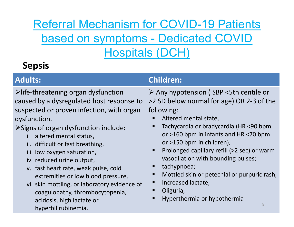# Referral Mechanism for COVID-19 Patients eferral Mechanism for COVID-19 Patients<br>based on symptoms - Dedicated COVID<br>Hospitals (DCH) Hospitals (DCH)

# Sepsis

| <b>Hospitals (DCH)</b><br><b>Sepsis</b>                                                                                                                                                                                                                                                                                                                                                                                                                                                                                                                 |                                                                                                                                                                                                                                                                                                                                                                                                                                                                           |
|---------------------------------------------------------------------------------------------------------------------------------------------------------------------------------------------------------------------------------------------------------------------------------------------------------------------------------------------------------------------------------------------------------------------------------------------------------------------------------------------------------------------------------------------------------|---------------------------------------------------------------------------------------------------------------------------------------------------------------------------------------------------------------------------------------------------------------------------------------------------------------------------------------------------------------------------------------------------------------------------------------------------------------------------|
|                                                                                                                                                                                                                                                                                                                                                                                                                                                                                                                                                         |                                                                                                                                                                                                                                                                                                                                                                                                                                                                           |
| $\triangleright$ life-threatening organ dysfunction<br>caused by a dysregulated host response to<br>suspected or proven infection, with organ<br>dysfunction.<br>>Signs of organ dysfunction include:<br>i. altered mental status,<br>ii. difficult or fast breathing,<br>iii. low oxygen saturation,<br>iv. reduced urine output,<br>v. fast heart rate, weak pulse, cold<br>extremities or low blood pressure,<br>vi. skin mottling, or laboratory evidence of<br>coagulopathy, thrombocytopenia,<br>acidosis, high lactate or<br>hyperbilirubinemia. | ≻ Any hypotension (SBP <5th centile or<br>>2 SD below normal for age) OR 2-3 of the<br>following:<br>Altered mental state,<br>Tachycardia or bradycardia (HR <90 bpm<br>or >160 bpm in infants and HR <70 bpm<br>or >150 bpm in children),<br>Prolonged capillary refill (>2 sec) or warm<br>vasodilation with bounding pulses;<br>tachypnoea;<br>Mottled skin or petechial or purpuric rash,<br>п<br>Increased lactate,<br>Oliguria,<br>Hyperthermia or hypothermia<br>8 |